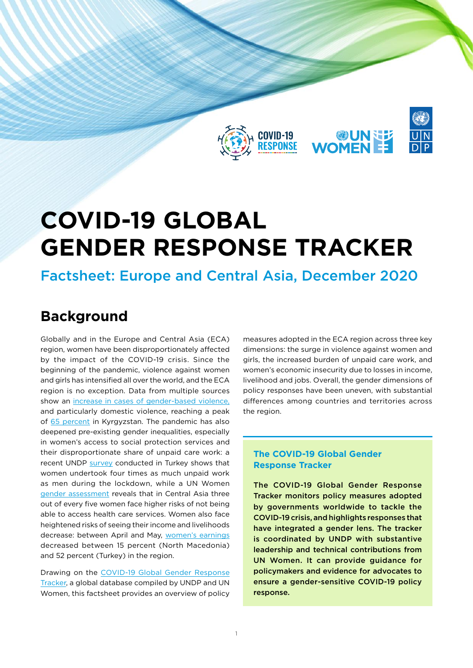

# **COVID-19 Global Gender Response Tracker**

## Factsheet: Europe and Central Asia, December 2020

# **Background**

Globally and in the Europe and Central Asia (ECA) region, women have been disproportionately affected by the impact of the COVID-19 crisis. Since the beginning of the pandemic, violence against women and girls has intensified all over the world, and the ECA region is no exception. Data from multiple sources show an [increase in cases of gender-based violence,](https://data.unwomen.org/resources/focus-violence) and particularly domestic violence, reaching a peak of [65 percent](https://www.kg.undp.org/content/kyrgyzstan/en/home/library/poverty/socio-economic-impact-covid-19.html) in Kyrgyzstan. The pandemic has also deepened pre-existing gender inequalities, especially in women's access to social protection services and their disproportionate share of unpaid care work: a recent UNDP [survey](https://www.tr.undp.org/content/turkey/en/home/library/corporatereports/COVID-gender-survey-report.html) conducted in Turkey shows that women undertook four times as much unpaid work as men during the lockdown, while a UN Women [gender assessment](https://eca.unwomen.org/en/digital-library/publications/2020/07/the-impact-of-covid19-on-womens-and-mens-lives-and-livelihoods) reveals that in Central Asia three out of every five women face higher risks of not being able to access health care services. Women also face heightened risks of seeing their income and livelihoods decrease: between April and May, [women's earnings](https://www.unwomen.org/en/news/stories/2020/7/news-europe-and-central-asia-gender-assessments-reveal-pandemics--impact-on-women) decreased between 15 percent (North Macedonia) and 52 percent (Turkey) in the region.

Drawing on the [COVID-19 Global Gender Response](https://data.undp.org/gendertracker/) [Tracker](https://data.undp.org/gendertracker/), a global database compiled by UNDP and UN Women, this factsheet provides an overview of policy

measures adopted in the ECA region across three key dimensions: the surge in violence against women and girls, the increased burden of unpaid care work, and women's economic insecurity due to losses in income, livelihood and jobs. Overall, the gender dimensions of policy responses have been uneven, with substantial differences among countries and territories across the region.

### **The COVID-19 Global Gender Response Tracker**

The COVID-19 Global Gender Response Tracker monitors policy measures adopted by governments worldwide to tackle the COVID-19 crisis, and highlights responses that have integrated a gender lens. The tracker is coordinated by UNDP with substantive leadership and technical contributions from UN Women. It can provide guidance for policymakers and evidence for advocates to ensure a gender-sensitive COVID-19 policy response.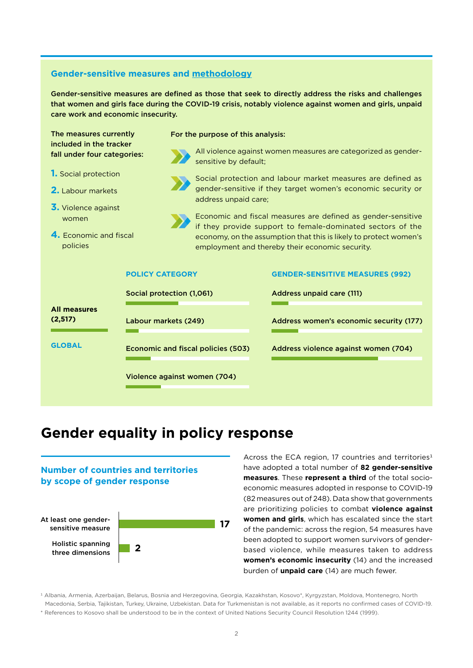#### **Gender-sensitive measures and [methodology](https://data.undp.org/wp-content/uploads/2020/09/COVID-19_Global_Gender_Response_Tracker_Methodological_Note_20092020.pdf)**

Gender-sensitive measures are defined as those that seek to directly address the risks and challenges that women and girls face during the COVID-19 crisis, notably violence against women and girls, unpaid care work and economic insecurity.

| The measures currently<br>included in the tracker<br>fall under four categories:                           |                                           | For the purpose of this analysis: |                                                                                                                                                                                                                                                                                         |                                                                |                                         |  |  |
|------------------------------------------------------------------------------------------------------------|-------------------------------------------|-----------------------------------|-----------------------------------------------------------------------------------------------------------------------------------------------------------------------------------------------------------------------------------------------------------------------------------------|----------------------------------------------------------------|-----------------------------------------|--|--|
|                                                                                                            |                                           | sensitive by default;             |                                                                                                                                                                                                                                                                                         | All violence against women measures are categorized as gender- |                                         |  |  |
| <b>1.</b> Social protection<br>2. Labour markets<br>3. Violence against<br>women<br>4. Economic and fiscal |                                           |                                   | Social protection and labour market measures are defined as                                                                                                                                                                                                                             |                                                                |                                         |  |  |
|                                                                                                            |                                           |                                   | gender-sensitive if they target women's economic security or<br>address unpaid care;<br>Economic and fiscal measures are defined as gender-sensitive<br>if they provide support to female-dominated sectors of the<br>economy, on the assumption that this is likely to protect women's |                                                                |                                         |  |  |
|                                                                                                            |                                           |                                   |                                                                                                                                                                                                                                                                                         |                                                                |                                         |  |  |
| policies                                                                                                   |                                           |                                   | employment and thereby their economic security.                                                                                                                                                                                                                                         |                                                                |                                         |  |  |
| <b>POLICY CATEGORY</b>                                                                                     |                                           |                                   |                                                                                                                                                                                                                                                                                         | <b>GENDER-SENSITIVE MEASURES (992)</b>                         |                                         |  |  |
|                                                                                                            |                                           | Social protection (1,061)         |                                                                                                                                                                                                                                                                                         |                                                                | <b>Address unpaid care (111)</b>        |  |  |
| <b>All measures</b><br>(2,517)                                                                             | Labour markets (249)                      |                                   |                                                                                                                                                                                                                                                                                         |                                                                | Address women's economic security (177) |  |  |
| <b>GLOBAL</b>                                                                                              | <b>Economic and fiscal policies (503)</b> |                                   |                                                                                                                                                                                                                                                                                         |                                                                | Address violence against women (704)    |  |  |
|                                                                                                            | Violence against women (704)              |                                   |                                                                                                                                                                                                                                                                                         |                                                                |                                         |  |  |

# **Gender equality in policy response**

### **Number of countries and territories by scope of gender response**



Across the ECA region, 17 countries and territories<sup>1</sup> have adopted a total number of **82 gender-sensitive measures**. These **represent a third** of the total socioeconomic measures adopted in response to COVID-19 (82 measures out of 248). Data show that governments are prioritizing policies to combat **violence against women and girls**, which has escalated since the start of the pandemic: across the region, 54 measures have been adopted to support women survivors of genderbased violence, while measures taken to address **women's economic insecurity** (14) and the increased burden of **unpaid care** (14) are much fewer.

1 Albania, Armenia, Azerbaijan, Belarus, Bosnia and Herzegovina, Georgia, Kazakhstan, Kosovo\*, Kyrgyzstan, Moldova, Montenegro, North Macedonia, Serbia, Tajikistan, Turkey, Ukraine, Uzbekistan. Data for Turkmenistan is not available, as it reports no confirmed cases of COVID-19. \* References to Kosovo shall be understood to be in the context of United Nations Security Council Resolution 1244 (1999).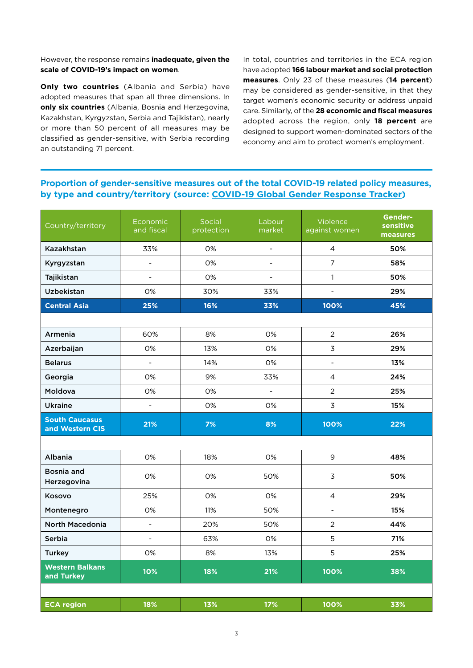However, the response remains **inadequate, given the scale of COVID-19's impact on women**.

**Only two countries** (Albania and Serbia) have adopted measures that span all three dimensions. In **only six countries** (Albania, Bosnia and Herzegovina, Kazakhstan, Kyrgyzstan, Serbia and Tajikistan), nearly or more than 50 percent of all measures may be classified as gender-sensitive, with Serbia recording an outstanding 71 percent.

In total, countries and territories in the ECA region have adopted **166 labour market and social protection measures**. Only 23 of these measures (**14 percent**) may be considered as gender-sensitive, in that they target women's economic security or address unpaid care. Similarly, of the **28 economic and fiscal measures** adopted across the region, only **18 percent** are designed to support women-dominated sectors of the economy and aim to protect women's employment.

### **Proportion of gender-sensitive measures out of the total COVID-19 related policy measures, by type and country/territory (source: [COVID-19 Global Gender Response Tracker\)](https://data.undp.org/gendertracker/)**

| Country/territory                        | Economic<br>and fiscal       | Social<br>protection | Labour<br>market | <b>Violence</b><br>against women | Gender-<br>sensitive<br>measures |
|------------------------------------------|------------------------------|----------------------|------------------|----------------------------------|----------------------------------|
| Kazakhstan                               | 33%                          | 0%                   | $\blacksquare$   | $\overline{4}$                   | 50%                              |
| Kyrgyzstan                               | $\qquad \qquad \blacksquare$ | 0%                   |                  | $\overline{7}$                   | 58%                              |
| Tajikistan                               | $\frac{1}{2}$                | 0%                   |                  | $\mathbf{1}$                     | 50%                              |
| <b>Uzbekistan</b>                        | 0%                           | 30%                  | 33%              | $\overline{a}$                   | 29%                              |
| <b>Central Asia</b>                      | 25%                          | 16%                  | 33%              | 100%                             | 45%                              |
|                                          |                              |                      |                  |                                  |                                  |
| Armenia                                  | 60%                          | 8%                   | 0%               | $\overline{2}$                   | 26%                              |
| Azerbaijan                               | 0%                           | 13%                  | 0%               | $\overline{3}$                   | 29%                              |
| <b>Belarus</b>                           | $\overline{\phantom{0}}$     | 14%                  | 0%               | $\overline{\phantom{0}}$         | 13%                              |
| Georgia                                  | 0%                           | 9%                   | 33%              | $\overline{4}$                   | 24%                              |
| Moldova                                  | 0%                           | 0%                   |                  | $\overline{2}$                   | 25%                              |
| <b>Ukraine</b>                           | $\overline{a}$               | 0%                   | 0%               | 3                                | 15%                              |
| <b>South Caucasus</b><br>and Western CIS | 21%                          | 7%                   | 8%               | 100%                             | 22%                              |
|                                          |                              |                      |                  |                                  |                                  |
| Albania                                  | 0%                           | 18%                  | 0%               | 9                                | 48%                              |
| Bosnia and<br>Herzegovina                | 0%                           | 0%                   | 50%              | $\overline{3}$                   | 50%                              |
| Kosovo                                   | 25%                          | 0%                   | 0%               | $\overline{4}$                   | 29%                              |
| Montenegro                               | 0%                           | 11%                  | 50%              | $\overline{a}$                   | 15%                              |
| <b>North Macedonia</b>                   | $\frac{1}{2}$                | 20%                  | 50%              | $\overline{2}$                   | 44%                              |
| Serbia                                   | $\overline{\phantom{0}}$     | 63%                  | 0%               | 5                                | 71%                              |
| <b>Turkey</b>                            | 0%                           | 8%                   | 13%              | 5                                | 25%                              |
| <b>Western Balkans</b><br>and Turkey     | 10%                          | 18%                  | 21%              | 100%                             | 38%                              |
|                                          |                              |                      |                  |                                  |                                  |
| <b>ECA region</b>                        | 18%                          | 13%                  | 17%              | 100%                             | 33%                              |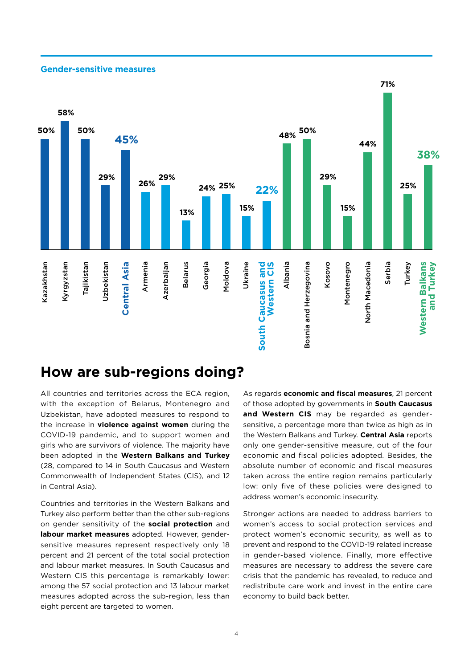#### **Gender-sensitive measures**



### **How are sub-regions doing?**

All countries and territories across the ECA region, with the exception of Belarus, Montenegro and Uzbekistan, have adopted measures to respond to the increase in **violence against women** during the COVID-19 pandemic, and to support women and girls who are survivors of violence. The majority have been adopted in the **Western Balkans and Turkey** (28, compared to 14 in South Caucasus and Western Commonwealth of Independent States (CIS), and 12 in Central Asia).

Countries and territories in the Western Balkans and Turkey also perform better than the other sub-regions on gender sensitivity of the **social protection** and **labour market measures** adopted. However, gendersensitive measures represent respectively only 18 percent and 21 percent of the total social protection and labour market measures. In South Caucasus and Western CIS this percentage is remarkably lower: among the 57 social protection and 13 labour market measures adopted across the sub-region, less than eight percent are targeted to women.

As regards **economic and fiscal measures**, 21 percent of those adopted by governments in **South Caucasus and Western CIS** may be regarded as gendersensitive, a percentage more than twice as high as in the Western Balkans and Turkey. **Central Asia** reports only one gender-sensitive measure, out of the four economic and fiscal policies adopted. Besides, the absolute number of economic and fiscal measures taken across the entire region remains particularly low: only five of these policies were designed to address women's economic insecurity.

Stronger actions are needed to address barriers to women's access to social protection services and protect women's economic security, as well as to prevent and respond to the COVID-19 related increase in gender-based violence. Finally, more effective measures are necessary to address the severe care crisis that the pandemic has revealed, to reduce and redistribute care work and invest in the entire care economy to build back better.